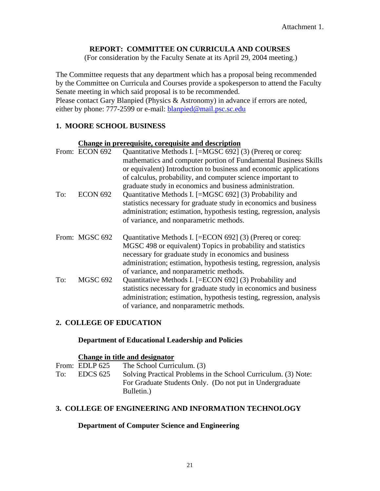# **REPORT: COMMITTEE ON CURRICULA AND COURSES**

(For consideration by the Faculty Senate at its April 29, 2004 meeting.)

The Committee requests that any department which has a proposal being recommended by the Committee on Curricula and Courses provide a spokesperson to attend the Faculty Senate meeting in which said proposal is to be recommended. Please contact Gary Blanpied (Physics & Astronomy) in advance if errors are noted,

either by phone: 777-2599 or e-mail: **blanpied@mail.psc.sc.edu** 

# **1. MOORE SCHOOL BUSINESS**

# **Change in prerequisite, corequisite and description**

|     | From: ECON 692  | Quantitative Methods I. [=MGSC 692] (3) (Prereq or coreq:<br>mathematics and computer portion of Fundamental Business Skills<br>or equivalent) Introduction to business and economic applications<br>of calculus, probability, and computer science important to                                            |
|-----|-----------------|-------------------------------------------------------------------------------------------------------------------------------------------------------------------------------------------------------------------------------------------------------------------------------------------------------------|
| To: | <b>ECON 692</b> | graduate study in economics and business administration.<br>Quantitative Methods I. [=MGSC 692] (3) Probability and<br>statistics necessary for graduate study in economics and business<br>administration; estimation, hypothesis testing, regression, analysis<br>of variance, and nonparametric methods. |
|     | From: MGSC 692  | Quantitative Methods I. [=ECON 692] (3) (Prereq or coreq:<br>MGSC 498 or equivalent) Topics in probability and statistics<br>necessary for graduate study in economics and business<br>administration; estimation, hypothesis testing, regression, analysis<br>of variance, and nonparametric methods.      |
| To: | MGSC 692        | Quantitative Methods I. [=ECON 692] (3) Probability and<br>statistics necessary for graduate study in economics and business<br>administration; estimation, hypothesis testing, regression, analysis<br>of variance, and nonparametric methods.                                                             |

# **2. COLLEGE OF EDUCATION**

# **Department of Educational Leadership and Policies**

#### **Change in title and designator**

From: EDLP 625 The School Curriculum. (3) To: EDCS 625 Solving Practical Problems in the School Curriculum. (3) Note: For Graduate Students Only. (Do not put in Undergraduate Bulletin.)

# **3. COLLEGE OF ENGINEERING AND INFORMATION TECHNOLOGY**

# **Department of Computer Science and Engineering**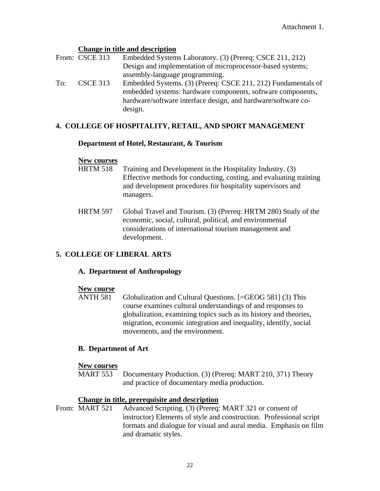- **Change in title and description**<br>From: CSCE 313 Embedded System Embedded Systems Laboratory. (3) (Prereq: CSCE 211, 212) Design and implementation of microprocessor-based systems; assembly-language programming.
- To: CSCE 313 Embedded Systems. (3) (Prereq: CSCE 211, 212) Fundamentals of embedded systems: hardware components, software components, hardware/software interface design, and hardware/software codesign.

# **4. COLLEGE OF HOSPITALITY, RETAIL, AND SPORT MANAGEMENT**

# **Department of Hotel, Restaurant, & Tourism**

# **New courses**<br>HRTM 518

- Training and Development in the Hospitality Industry. (3) Effective methods for conducting, costing, and evaluating training and development procedures for hospitality supervisors and managers.
- HRTM 597 Global Travel and Tourism. (3) (Prereq: HRTM 280) Study of the economic, social, cultural, political, and environmental considerations of international tourism management and development.

# **5. COLLEGE OF LIBERAL ARTS**

# **A. Department of Anthropology**

# **New course**

ANTH 581 Globalization and Cultural Questions. [=GEOG 581] (3) This course examines cultural understandings of and responses to globalization, examining topics such as its history and theories, migration, economic integration and inequality, identify, social movements, and the environment.

# **B. Department of Art**

# **New courses**

MART 553 Documentary Production. (3) (Prereq: MART 210, 371) Theory and practice of documentary media production.

# **Change in title, prerequisite and description**

From: MART 521 Advanced Scripting. (3) (Prereq: MART 321 or consent of instructor) Elements of style and construction. Professional script formats and dialogue for visual and aural media. Emphasis on film and dramatic styles.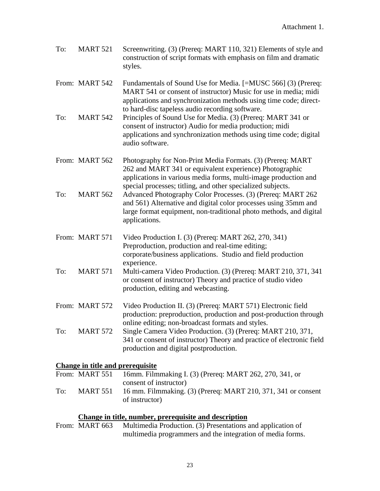| To: | <b>MART 521</b> | Screenwriting. (3) (Prereq: MART 110, 321) Elements of style and<br>construction of script formats with emphasis on film and dramatic<br>styles.                                                                                                         |
|-----|-----------------|----------------------------------------------------------------------------------------------------------------------------------------------------------------------------------------------------------------------------------------------------------|
|     | From: MART 542  | Fundamentals of Sound Use for Media. [=MUSC 566] (3) (Prereq:<br>MART 541 or consent of instructor) Music for use in media; midi<br>applications and synchronization methods using time code; direct-<br>to hard-disc tapeless audio recording software. |
| To: | <b>MART 542</b> | Principles of Sound Use for Media. (3) (Prereq: MART 341 or<br>consent of instructor) Audio for media production; midi<br>applications and synchronization methods using time code; digital<br>audio software.                                           |
|     | From: MART 562  | Photography for Non-Print Media Formats. (3) (Prereq: MART<br>262 and MART 341 or equivalent experience) Photographic<br>applications in various media forms, multi-image production and<br>special processes; titling, and other specialized subjects.  |
| To: | <b>MART 562</b> | Advanced Photography Color Processes. (3) (Prereq: MART 262<br>and 561) Alternative and digital color processes using 35mm and<br>large format equipment, non-traditional photo methods, and digital<br>applications.                                    |
|     | From: MART 571  | Video Production I. (3) (Prereq: MART 262, 270, 341)<br>Preproduction, production and real-time editing;<br>corporate/business applications. Studio and field production                                                                                 |
| To: | <b>MART 571</b> | experience.<br>Multi-camera Video Production. (3) (Prereq: MART 210, 371, 341<br>or consent of instructor) Theory and practice of studio video<br>production, editing and webcasting.                                                                    |
|     | From: MART 572  | Video Production II. (3) (Prereq: MART 571) Electronic field<br>production: preproduction, production and post-production through<br>online editing; non-broadcast formats and styles.                                                                   |
| To: | <b>MART 572</b> | Single Camera Video Production. (3) (Prereq: MART 210, 371,<br>341 or consent of instructor) Theory and practice of electronic field<br>production and digital postproduction.                                                                           |
|     |                 |                                                                                                                                                                                                                                                          |

# **Change in title and prerequisite**

|     | From: MART 551  | 16mm. Filmmaking I. (3) (Prereq: MART 262, 270, 341, or                         |
|-----|-----------------|---------------------------------------------------------------------------------|
|     |                 | consent of instructor)                                                          |
| To: | <b>MART 551</b> | 16 mm. Filmmaking. (3) (Prereq: MART 210, 371, 341 or consent<br>of instructor) |

# **Change in title, number, prerequisite and description**<br>From: MART 663 Multimedia Production. (3) Presentations and

Multimedia Production. (3) Presentations and application of multimedia programmers and the integration of media forms.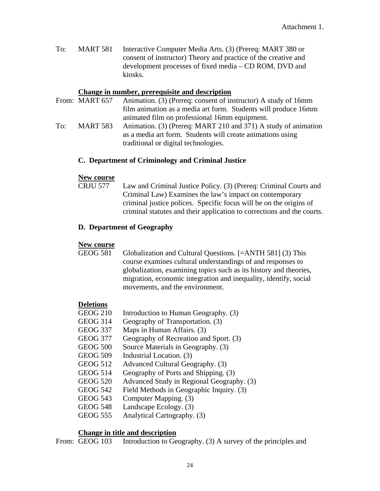To: MART 581 Interactive Computer Media Arts. (3) (Prereq: MART 380 or consent of instructor) Theory and practice of the creative and development processes of fixed media – CD ROM, DVD and kiosks.

#### **Change in number, prerequisite and description**

- From: MART 657 Animation. (3) (Prereq: consent of instructor) A study of 16mm film animation as a media art form. Students will produce 16mm animated film on professional 16mm equipment.
- To: MART 583 Animation. (3) (Prereq: MART 210 and 371) A study of animation as a media art form. Students will create animations using traditional or digital technologies.

#### **C. Department of Criminology and Criminal Justice**

#### **New course**

 CRJU 577 Law and Criminal Justice Policy. (3) (Prereq: Criminal Courts and Criminal Law) Examines the law's impact on contemporary criminal justice polices. Specific focus will be on the origins of criminal statutes and their application to corrections and the courts.

#### **D. Department of Geography**

# **New course**

Globalization and Cultural Questions. [=ANTH 581] (3) This course examines cultural understandings of and responses to globalization, examining topics such as its history and theories, migration, economic integration and inequality, identify, social movements, and the environment.

#### **Deletions**

- GEOG 210 Introduction to Human Geography. (3) GEOG 314 Geography of Transportation. (3) GEOG 337 Maps in Human Affairs. (3) GEOG 377 Geography of Recreation and Sport. (3) GEOG 500 Source Materials in Geography. (3) GEOG 509 Industrial Location. (3) GEOG 512 Advanced Cultural Geography. (3) GEOG 514 Geography of Ports and Shipping. (3) GEOG 520 Advanced Study in Regional Geography. (3) GEOG 542 Field Methods in Geographic Inquiry. (3) GEOG 543 Computer Mapping. (3)
- GEOG 548 Landscape Ecology. (3)
- 
- GEOG 555 Analytical Cartography. (3)

#### **Change in title and description**

From: GEOG 103 Introduction to Geography. (3) A survey of the principles and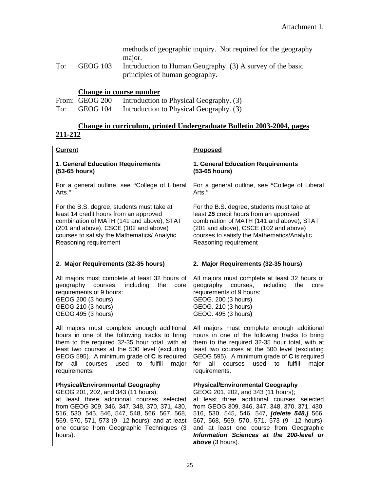methods of geographic inquiry. Not required for the geography major.

To: GEOG 103 Introduction to Human Geography. (3) A survey of the basic principles of human geography.

# **Change in course number**

|     | From: GEOG 200 | Introduction to Physical Geography. (3) |
|-----|----------------|-----------------------------------------|
| To: | GEOG 104       | Introduction to Physical Geography. (3) |

# **Change in curriculum, printed Undergraduate Bulletin 2003-2004, pages 211-212**

| <b>Current</b>                                                                                                                                                                                                                                                                                                                       | Proposed                                                                                                                                                                                                                                                                                                                                                                                    |
|--------------------------------------------------------------------------------------------------------------------------------------------------------------------------------------------------------------------------------------------------------------------------------------------------------------------------------------|---------------------------------------------------------------------------------------------------------------------------------------------------------------------------------------------------------------------------------------------------------------------------------------------------------------------------------------------------------------------------------------------|
| 1. General Education Requirements                                                                                                                                                                                                                                                                                                    | 1. General Education Requirements                                                                                                                                                                                                                                                                                                                                                           |
| (53-65 hours)                                                                                                                                                                                                                                                                                                                        | (53-65 hours)                                                                                                                                                                                                                                                                                                                                                                               |
| For a general outline, see "College of Liberal                                                                                                                                                                                                                                                                                       | For a general outline, see "College of Liberal                                                                                                                                                                                                                                                                                                                                              |
| Arts."                                                                                                                                                                                                                                                                                                                               | Arts."                                                                                                                                                                                                                                                                                                                                                                                      |
| For the B.S. degree, students must take at                                                                                                                                                                                                                                                                                           | For the B.S. degree, students must take at                                                                                                                                                                                                                                                                                                                                                  |
| least 14 credit hours from an approved                                                                                                                                                                                                                                                                                               | least 15 credit hours from an approved                                                                                                                                                                                                                                                                                                                                                      |
| combination of MATH (141 and above), STAT                                                                                                                                                                                                                                                                                            | combination of MATH (141 and above), STAT                                                                                                                                                                                                                                                                                                                                                   |
| (201 and above), CSCE (102 and above)                                                                                                                                                                                                                                                                                                | (201 and above), CSCE (102 and above)                                                                                                                                                                                                                                                                                                                                                       |
| courses to satisfy the Mathematics/ Analytic                                                                                                                                                                                                                                                                                         | courses to satisfy the Mathematics/Analytic                                                                                                                                                                                                                                                                                                                                                 |
| Reasoning requirement                                                                                                                                                                                                                                                                                                                | Reasoning requirement                                                                                                                                                                                                                                                                                                                                                                       |
| 2. Major Requirements (32-35 hours)                                                                                                                                                                                                                                                                                                  | 2. Major Requirements (32-35 hours)                                                                                                                                                                                                                                                                                                                                                         |
| All majors must complete at least 32 hours of                                                                                                                                                                                                                                                                                        | All majors must complete at least 32 hours of                                                                                                                                                                                                                                                                                                                                               |
| geography courses,                                                                                                                                                                                                                                                                                                                   | geography courses,                                                                                                                                                                                                                                                                                                                                                                          |
| including                                                                                                                                                                                                                                                                                                                            | including                                                                                                                                                                                                                                                                                                                                                                                   |
| the                                                                                                                                                                                                                                                                                                                                  | the                                                                                                                                                                                                                                                                                                                                                                                         |
| core                                                                                                                                                                                                                                                                                                                                 | core                                                                                                                                                                                                                                                                                                                                                                                        |
| requirements of 9 hours:                                                                                                                                                                                                                                                                                                             | requirements of 9 hours:                                                                                                                                                                                                                                                                                                                                                                    |
| GEOG 200 (3 hours)                                                                                                                                                                                                                                                                                                                   | GEOG. 200 (3 hours)                                                                                                                                                                                                                                                                                                                                                                         |
| GEOG 210 (3 hours)                                                                                                                                                                                                                                                                                                                   | GEOG. 210 (3 hours)                                                                                                                                                                                                                                                                                                                                                                         |
| GEOG 495 (3 hours)                                                                                                                                                                                                                                                                                                                   | GEOG. 495 (3 hours)                                                                                                                                                                                                                                                                                                                                                                         |
| All majors must complete enough additional                                                                                                                                                                                                                                                                                           | All majors must complete enough additional                                                                                                                                                                                                                                                                                                                                                  |
| hours in one of the following tracks to bring                                                                                                                                                                                                                                                                                        | hours in one of the following tracks to bring                                                                                                                                                                                                                                                                                                                                               |
| them to the required 32-35 hour total, with at                                                                                                                                                                                                                                                                                       | them to the required 32-35 hour total, with at                                                                                                                                                                                                                                                                                                                                              |
| least two courses at the 500 level (excluding                                                                                                                                                                                                                                                                                        | least two courses at the 500 level (excluding                                                                                                                                                                                                                                                                                                                                               |
| GEOG 595). A minimum grade of C is required                                                                                                                                                                                                                                                                                          | GEOG 595). A minimum grade of C is required                                                                                                                                                                                                                                                                                                                                                 |
| fulfill                                                                                                                                                                                                                                                                                                                              | for                                                                                                                                                                                                                                                                                                                                                                                         |
| for                                                                                                                                                                                                                                                                                                                                  | all                                                                                                                                                                                                                                                                                                                                                                                         |
| all                                                                                                                                                                                                                                                                                                                                  | courses                                                                                                                                                                                                                                                                                                                                                                                     |
| courses                                                                                                                                                                                                                                                                                                                              | fulfill                                                                                                                                                                                                                                                                                                                                                                                     |
| used                                                                                                                                                                                                                                                                                                                                 | used                                                                                                                                                                                                                                                                                                                                                                                        |
| major                                                                                                                                                                                                                                                                                                                                | major                                                                                                                                                                                                                                                                                                                                                                                       |
| to                                                                                                                                                                                                                                                                                                                                   | to                                                                                                                                                                                                                                                                                                                                                                                          |
| requirements.                                                                                                                                                                                                                                                                                                                        | requirements.                                                                                                                                                                                                                                                                                                                                                                               |
| <b>Physical/Environmental Geography</b><br>GEOG 201, 202, and 343 (11 hours);<br>at least three additional courses selected<br>from GEOG 309, 346, 347, 348, 370, 371, 430,<br>516, 530, 545, 546, 547, 548, 566, 567, 568,<br>569, 570, 571, 573 (9 -12 hours); and at least<br>one course from Geographic Techniques (3<br>hours). | <b>Physical/Environmental Geography</b><br>GEOG 201, 202, and 343 (11 hours);<br>at least three additional courses selected<br>from GEOG 309, 346, 347, 348, 370, 371, 430,<br>516, 530, 545, 546, 547, <i>[delete 548,]</i> 566,<br>567, 568, 569, 570, 571, 573 (9 -12 hours);<br>and at least one course from Geographic<br>Information Sciences at the 200-level or<br>above (3 hours). |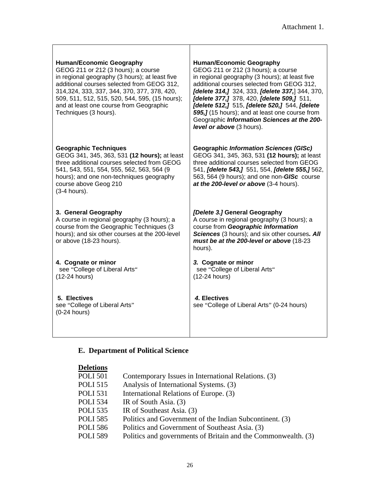| <b>Human/Economic Geography</b><br>GEOG 211 or 212 (3 hours); a course<br>in regional geography (3 hours); at least five<br>additional courses selected from GEOG 312,<br>314, 324, 333, 337, 344, 370, 377, 378, 420,<br>509, 511, 512, 515, 520, 544, 595, (15 hours);<br>and at least one course from Geographic<br>Techniques (3 hours). | <b>Human/Economic Geography</b><br>GEOG 211 or 212 (3 hours); a course<br>in regional geography (3 hours); at least five<br>additional courses selected from GEOG 312,<br>[delete 314,] 324, 333, [delete 337,] 344, 370,<br>[delete 377,] 378, 420, [delete 509,] 511,<br>[delete 512,] 515, [delete 520,] 544, [delete<br>595,] (15 hours); and at least one course from<br>Geographic Information Sciences at the 200-<br>level or above (3 hours). |
|----------------------------------------------------------------------------------------------------------------------------------------------------------------------------------------------------------------------------------------------------------------------------------------------------------------------------------------------|--------------------------------------------------------------------------------------------------------------------------------------------------------------------------------------------------------------------------------------------------------------------------------------------------------------------------------------------------------------------------------------------------------------------------------------------------------|
| <b>Geographic Techniques</b><br>GEOG 341, 345, 363, 531 (12 hours); at least<br>three additional courses selected from GEOG<br>541, 543, 551, 554, 555, 562, 563, 564 (9<br>hours); and one non-techniques geography<br>course above Geog 210<br>(3-4 hours).                                                                                | <b>Geographic Information Sciences (GISc)</b><br>GEOG 341, 345, 363, 531 (12 hours); at least<br>three additional courses selected from GEOG<br>541, [delete 543,] 551, 554, [delete 555,] 562,<br>563, 564 (9 hours); and one non-GISc course<br>at the 200-level or above (3-4 hours).                                                                                                                                                               |
| 3. General Geography<br>A course in regional geography (3 hours); a<br>course from the Geographic Techniques (3)<br>hours); and six other courses at the 200-level<br>or above (18-23 hours).                                                                                                                                                | [Delete 3.] General Geography<br>A course in regional geography (3 hours); a<br>course from Geographic Information<br>Sciences (3 hours); and six other courses. All<br>must be at the 200-level or above (18-23<br>hours).                                                                                                                                                                                                                            |
| 4. Cognate or minor<br>see "College of Liberal Arts"<br>(12-24 hours)                                                                                                                                                                                                                                                                        | 3. Cognate or minor<br>see "College of Liberal Arts"<br>(12-24 hours)                                                                                                                                                                                                                                                                                                                                                                                  |
| 5. Electives<br>see "College of Liberal Arts"<br>$(0-24$ hours)                                                                                                                                                                                                                                                                              | 4. Electives<br>see "College of Liberal Arts" (0-24 hours)                                                                                                                                                                                                                                                                                                                                                                                             |

# **E. Department of Political Science**

| <b>Deletions</b> |                                                               |
|------------------|---------------------------------------------------------------|
| <b>POLI 501</b>  | Contemporary Issues in International Relations. (3)           |
| <b>POLI 515</b>  | Analysis of International Systems. (3)                        |
| <b>POLI</b> 531  | International Relations of Europe. (3)                        |
| <b>POLI 534</b>  | IR of South Asia. (3)                                         |
| <b>POLI 535</b>  | IR of Southeast Asia. (3)                                     |
| <b>POLI 585</b>  | Politics and Government of the Indian Subcontinent. (3)       |
| <b>POLI 586</b>  | Politics and Government of Southeast Asia. (3)                |
| <b>POLI 589</b>  | Politics and governments of Britain and the Commonwealth. (3) |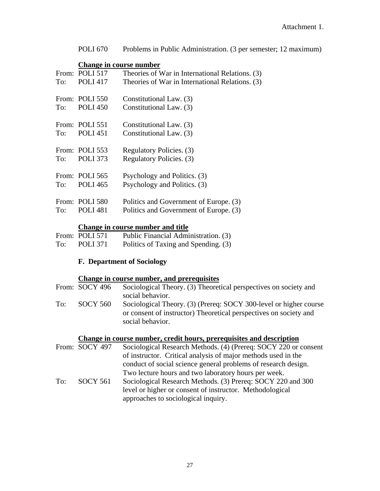POLI 670 Problems in Public Administration. (3 per semester; 12 maximum)

#### **Change in course number**

| To: | From: POLI 517<br><b>POLI 417</b> | Theories of War in International Relations. (3)<br>Theories of War in International Relations. (3) |
|-----|-----------------------------------|----------------------------------------------------------------------------------------------------|
| To: | From: POLI 550<br><b>POLI</b> 450 | Constitutional Law. (3)<br>Constitutional Law. (3)                                                 |
| To: | From: POLI 551<br><b>POLI 451</b> | Constitutional Law. (3)<br>Constitutional Law. (3)                                                 |
| To: | From: POLI 553<br><b>POLI</b> 373 | Regulatory Policies. (3)<br>Regulatory Policies. (3)                                               |
| To: | From: POLI 565<br><b>POLI</b> 465 | Psychology and Politics. (3)<br>Psychology and Politics. (3)                                       |
| To: | From: POLI 580<br><b>POLI</b> 481 | Politics and Government of Europe. (3)<br>Politics and Government of Europe. (3)                   |

# **Change in course number and title**

|     | From: POLI 571  | Public Financial Administration. (3) |
|-----|-----------------|--------------------------------------|
| To: | <b>POLI</b> 371 | Politics of Taxing and Spending. (3) |

# **F. Department of Sociology**

# **Change in course number, and prerequisites**

|     | From: SOCY 496 | Sociological Theory. (3) Theoretical perspectives on society and  |
|-----|----------------|-------------------------------------------------------------------|
|     |                | social behavior.                                                  |
| To: | SOCY 560       | Sociological Theory. (3) (Prereq: SOCY 300-level or higher course |
|     |                | or consent of instructor) Theoretical perspectives on society and |
|     |                | social behavior.                                                  |

# **Change in course number, credit hours, prerequisites and description**

|     | From: SOCY 497  | Sociological Research Methods. (4) (Prereq: SOCY 220 or consent |
|-----|-----------------|-----------------------------------------------------------------|
|     |                 | of instructor. Critical analysis of major methods used in the   |
|     |                 | conduct of social science general problems of research design.  |
|     |                 | Two lecture hours and two laboratory hours per week.            |
| To: | <b>SOCY 561</b> | Sociological Research Methods. (3) Prereq: SOCY 220 and 300     |
|     |                 | level or higher or consent of instructor. Methodological        |
|     |                 | approaches to sociological inquiry.                             |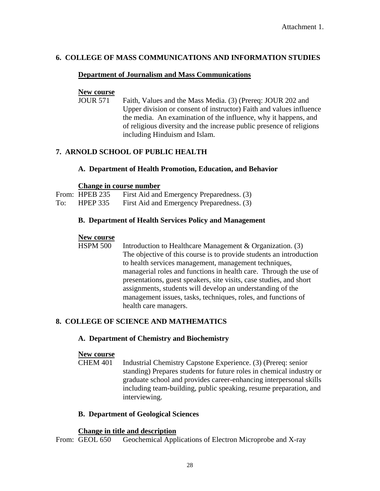# **6. COLLEGE OF MASS COMMUNICATIONS AND INFORMATION STUDIES**

# **Department of Journalism and Mass Communications**

# **New course**

Faith, Values and the Mass Media. (3) (Prereq: JOUR 202 and Upper division or consent of instructor) Faith and values influence the media. An examination of the influence, why it happens, and of religious diversity and the increase public presence of religions including Hinduism and Islam.

# **7. ARNOLD SCHOOL OF PUBLIC HEALTH**

# **A. Department of Health Promotion, Education, and Behavior**

# **Change in course number**

|     | From: HPEB 235  | First Aid and Emergency Preparedness. (3) |
|-----|-----------------|-------------------------------------------|
| To: | <b>HPEP 335</b> | First Aid and Emergency Preparedness. (3) |

# **B. Department of Health Services Policy and Management**

# **New course**

 HSPM 500 Introduction to Healthcare Management & Organization. (3) The objective of this course is to provide students an introduction to health services management, management techniques, managerial roles and functions in health care. Through the use of presentations, guest speakers, site visits, case studies, and short assignments, students will develop an understanding of the management issues, tasks, techniques, roles, and functions of health care managers.

# **8. COLLEGE OF SCIENCE AND MATHEMATICS**

# **A. Department of Chemistry and Biochemistry**

# **New course**

 CHEM 401 Industrial Chemistry Capstone Experience. (3) (Prereq: senior standing) Prepares students for future roles in chemical industry or graduate school and provides career-enhancing interpersonal skills including team-building, public speaking, resume preparation, and interviewing.

# **B. Department of Geological Sciences**

# **Change in title and description**

From: GEOL 650 Geochemical Applications of Electron Microprobe and X-ray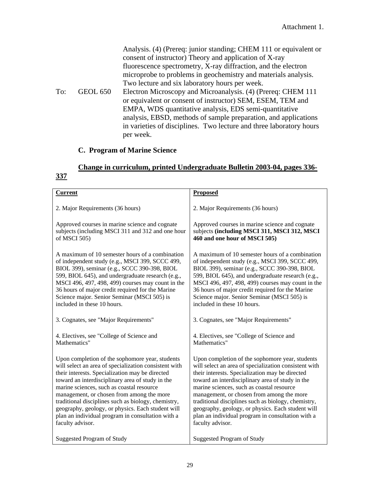|     |                 | Analysis. (4) (Prereq: junior standing; CHEM 111 or equivalent or<br>consent of instructor) Theory and application of X-ray<br>fluorescence spectrometry, X-ray diffraction, and the electron<br>microprobe to problems in geochemistry and materials analysis.<br>Two lecture and six laboratory hours per week.                           |
|-----|-----------------|---------------------------------------------------------------------------------------------------------------------------------------------------------------------------------------------------------------------------------------------------------------------------------------------------------------------------------------------|
| To: | <b>GEOL 650</b> | Electron Microscopy and Microanalysis. (4) (Prereq: CHEM 111<br>or equivalent or consent of instructor) SEM, ESEM, TEM and<br>EMPA, WDS quantitative analysis, EDS semi-quantitative<br>analysis, EBSD, methods of sample preparation, and applications<br>in varieties of disciplines. Two lecture and three laboratory hours<br>per week. |

# **C. Program of Marine Science**

# **Change in curriculum, printed Undergraduate Bulletin 2003-04, pages 336- 337**

| <b>Current</b>                                        | <b>Proposed</b>                                       |
|-------------------------------------------------------|-------------------------------------------------------|
| 2. Major Requirements (36 hours)                      | 2. Major Requirements (36 hours)                      |
| Approved courses in marine science and cognate        | Approved courses in marine science and cognate        |
| subjects (including MSCI 311 and 312 and one hour     | subjects (including MSCI 311, MSCI 312, MSCI          |
| of MSCI 505)                                          | 460 and one hour of MSCI 505)                         |
| A maximum of 10 semester hours of a combination       | A maximum of 10 semester hours of a combination       |
| of independent study (e.g., MSCI 399, SCCC 499,       | of independent study (e.g., MSCI 399, SCCC 499,       |
| BIOL 399), seminar (e.g., SCCC 390-398, BIOL          | BIOL 399), seminar (e.g., SCCC 390-398, BIOL          |
| 599, BIOL 645), and undergraduate research (e.g.,     | 599, BIOL 645), and undergraduate research (e.g.,     |
| MSCI 496, 497, 498, 499) courses may count in the     | MSCI 496, 497, 498, 499) courses may count in the     |
| 36 hours of major credit required for the Marine      | 36 hours of major credit required for the Marine      |
| Science major. Senior Seminar (MSCI 505) is           | Science major. Senior Seminar (MSCI 505) is           |
| included in these 10 hours.                           | included in these 10 hours.                           |
| 3. Cognates, see "Major Requirements"                 | 3. Cognates, see "Major Requirements"                 |
| 4. Electives, see "College of Science and             | 4. Electives, see "College of Science and             |
| Mathematics"                                          | Mathematics"                                          |
| Upon completion of the sophomore year, students       | Upon completion of the sophomore year, students       |
| will select an area of specialization consistent with | will select an area of specialization consistent with |
| their interests. Specialization may be directed       | their interests. Specialization may be directed       |
| toward an interdisciplinary area of study in the      | toward an interdisciplinary area of study in the      |
| marine sciences, such as coastal resource             | marine sciences, such as coastal resource             |
| management, or chosen from among the more             | management, or chosen from among the more             |
| traditional disciplines such as biology, chemistry,   | traditional disciplines such as biology, chemistry,   |
| geography, geology, or physics. Each student will     | geography, geology, or physics. Each student will     |
| plan an individual program in consultation with a     | plan an individual program in consultation with a     |
| faculty advisor.                                      | faculty advisor.                                      |
| Suggested Program of Study                            | <b>Suggested Program of Study</b>                     |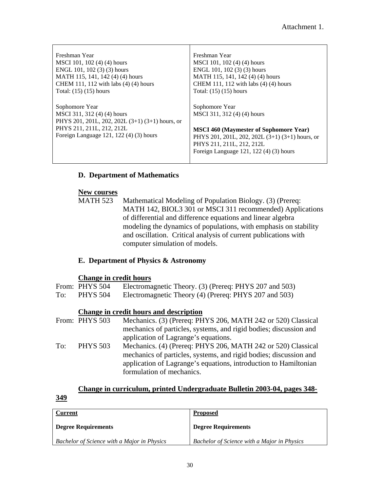| Freshman Year<br>MSCI 101, 102 (4) (4) hours<br>ENGL 101, 102 $(3)(3)$ hours<br>MATH 115, 141, 142 (4) (4) hours                                                          | Freshman Year<br>MSCI 101, 102 (4) (4) hours<br>ENGL 101, 102 (3) (3) hours<br>MATH 115, 141, 142 (4) (4) hours                                                                                                           |
|---------------------------------------------------------------------------------------------------------------------------------------------------------------------------|---------------------------------------------------------------------------------------------------------------------------------------------------------------------------------------------------------------------------|
| CHEM 111, 112 with labs $(4)$ (4) hours                                                                                                                                   | CHEM 111, 112 with labs $(4)$ (4) hours                                                                                                                                                                                   |
| Total: $(15)$ $(15)$ hours                                                                                                                                                | Total: $(15)$ $(15)$ hours                                                                                                                                                                                                |
| Sophomore Year<br>MSCI 311, 312 (4) (4) hours<br>PHYS 201, 201L, 202, 202L (3+1) (3+1) hours, or<br>PHYS 211, 211L, 212, 212L<br>Foreign Language 121, 122 $(4)(3)$ hours | Sophomore Year<br>MSCI 311, 312 (4) (4) hours<br><b>MSCI 460 (Maymester of Sophomore Year)</b><br>PHYS 201, 201L, 202, 202L (3+1) (3+1) hours, or<br>PHYS 211, 211L, 212, 212L<br>Foreign Language 121, 122 (4) (3) hours |

# **D. Department of Mathematics**

# **New courses**

MATH 523 Mathematical Modeling of Population Biology. (3) (Prereq: MATH 142, BIOL3 301 or MSCI 311 recommended) Applications of differential and difference equations and linear algebra modeling the dynamics of populations, with emphasis on stability and oscillation. Critical analysis of current publications with computer simulation of models.

# **E. Department of Physics & Astronomy**

# **Change in credit hours**

|     | From: PHYS 504                         | Electromagnetic Theory. (3) (Prereq: PHYS 207 and 503)            |  |
|-----|----------------------------------------|-------------------------------------------------------------------|--|
| To: | <b>PHYS 504</b>                        | Electromagnetic Theory (4) (Prereq: PHYS 207 and 503)             |  |
|     | Change in credit hours and description |                                                                   |  |
|     | From: PHYS 503                         | Mechanics. (3) (Prereq: PHYS 206, MATH 242 or 520) Classical      |  |
|     |                                        | mechanics of particles, systems, and rigid bodies; discussion and |  |
|     |                                        | application of Lagrange's equations.                              |  |
| To: | <b>PHYS 503</b>                        | Mechanics. (4) (Prereq: PHYS 206, MATH 242 or 520) Classical      |  |
|     |                                        | mechanics of particles, systems, and rigid bodies; discussion and |  |
|     |                                        | application of Lagrange's equations, introduction to Hamiltonian  |  |
|     |                                        | formulation of mechanics.                                         |  |

# **Change in curriculum, printed Undergraduate Bulletin 2003-04, pages 348-**

**349**

| Current                                            | <b>Proposed</b>                             |
|----------------------------------------------------|---------------------------------------------|
| <b>Degree Requirements</b>                         | <b>Degree Requirements</b>                  |
| <b>Bachelor of Science with a Major in Physics</b> | Bachelor of Science with a Major in Physics |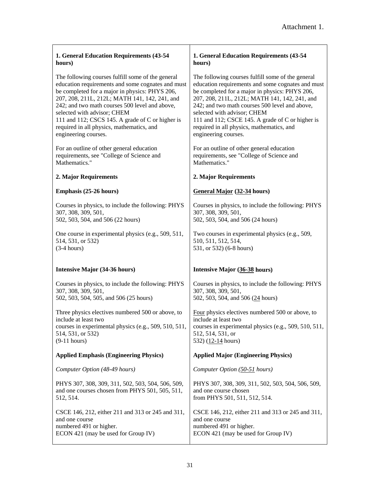| 1. General Education Requirements (43-54              | 1. General Education Requirements (43-54              |
|-------------------------------------------------------|-------------------------------------------------------|
| hours)                                                | hours)                                                |
| The following courses fulfill some of the general     | The following courses fulfill some of the general     |
| education requirements and some cognates and must     | education requirements and some cognates and must     |
| be completed for a major in physics: PHYS 206,        | be completed for a major in physics: PHYS 206,        |
| 207, 208, 211L, 212L; MATH 141, 142, 241, and         | 207, 208, 211L, 212L; MATH 141, 142, 241, and         |
| 242; and two math courses 500 level and above,        | 242; and two math courses 500 level and above,        |
| selected with advisor; CHEM                           | selected with advisor; CHEM                           |
| 111 and 112; CSCS 145. A grade of C or higher is      | 111 and 112; CSCE 145. A grade of C or higher is      |
| required in all physics, mathematics, and             | required in all physics, mathematics, and             |
| engineering courses.                                  | engineering courses.                                  |
| For an outline of other general education             | For an outline of other general education             |
| requirements, see "College of Science and             | requirements, see "College of Science and             |
| Mathematics."                                         | Mathematics."                                         |
| 2. Major Requirements                                 | 2. Major Requirements                                 |
| Emphasis (25-26 hours)                                | General Major (32-34 hours)                           |
| Courses in physics, to include the following: PHYS    | Courses in physics, to include the following: PHYS    |
| 307, 308, 309, 501,                                   | 307, 308, 309, 501,                                   |
| 502, 503, 504, and 506 (22 hours)                     | 502, 503, 504, and 506 (24 hours)                     |
| One course in experimental physics (e.g., 509, 511,   | Two courses in experimental physics (e.g., 509,       |
| 514, 531, or 532)                                     | 510, 511, 512, 514,                                   |
| $(3-4 hours)$                                         | 531, or 532) (6-8 hours)                              |
| Intensive Major (34-36 hours)                         | Intensive Major (36-38 hours)                         |
| Courses in physics, to include the following: PHYS    | Courses in physics, to include the following: PHYS    |
| 307, 308, 309, 501,                                   | 307, 308, 309, 501,                                   |
| 502, 503, 504, 505, and 506 (25 hours)                | 502, 503, 504, and 506 (24 hours)                     |
| Three physics electives numbered 500 or above, to     | Four physics electives numbered 500 or above, to      |
| include at least two                                  | include at least two                                  |
| courses in experimental physics (e.g., 509, 510, 511, | courses in experimental physics (e.g., 509, 510, 511, |
| 514, 531, or 532)                                     | 512, 514, 531, or                                     |
| $(9-11 hours)$                                        | 532) (12-14 hours)                                    |
| <b>Applied Emphasis (Engineering Physics)</b>         | <b>Applied Major (Engineering Physics)</b>            |
| Computer Option (48-49 hours)                         | Computer Option (50-51 hours)                         |
| PHYS 307, 308, 309, 311, 502, 503, 504, 506, 509,     | PHYS 307, 308, 309, 311, 502, 503, 504, 506, 509,     |
| and one courses chosen from PHYS 501, 505, 511,       | and one course chosen                                 |
| 512, 514.                                             | from PHYS 501, 511, 512, 514.                         |
| CSCE 146, 212, either 211 and 313 or 245 and 311,     | CSCE 146, 212, either 211 and 313 or 245 and 311,     |
| and one course                                        | and one course                                        |
| numbered 491 or higher.                               | numbered 491 or higher.                               |
| ECON 421 (may be used for Group IV)                   | ECON 421 (may be used for Group IV)                   |